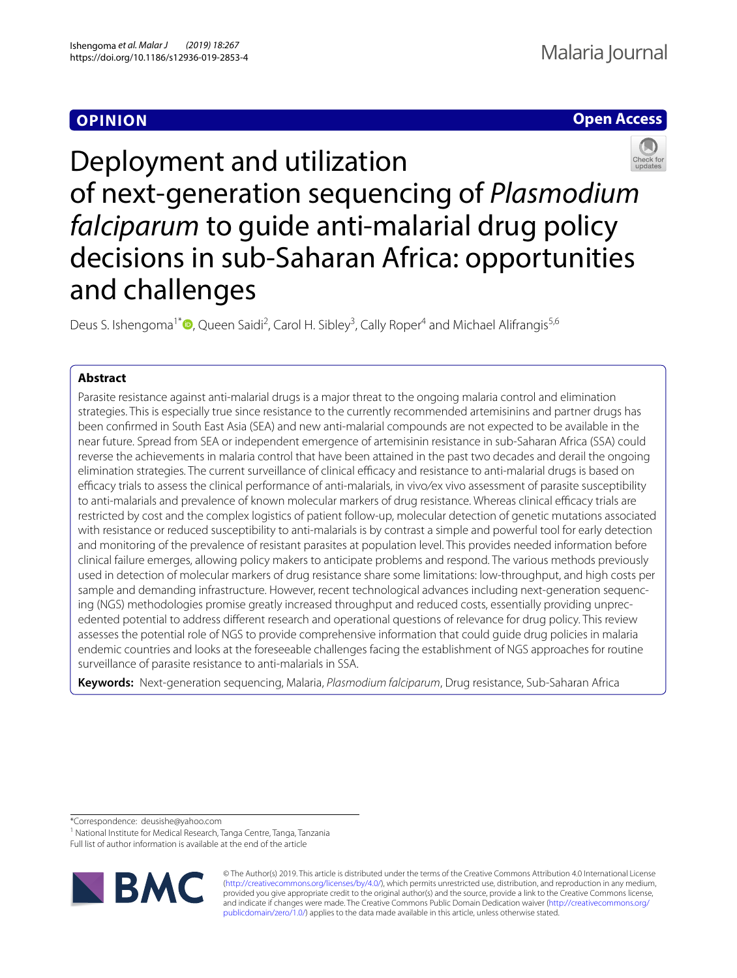# **OPINION**

# **Open Access**



Deployment and utilization of next-generation sequencing of *Plasmodium falciparum* to guide anti-malarial drug policy decisions in sub-Saharan Africa: opportunities and challenges

Deus S. Ishengoma<sup>1\*</sup><sup>®</sup>[,](http://orcid.org/0000-0003-2040-3416) Queen Saidi<sup>2</sup>, Carol H. Sibley<sup>3</sup>, Cally Roper<sup>4</sup> and Michael Alifrangis<sup>5,6</sup>

## **Abstract**

Parasite resistance against anti-malarial drugs is a major threat to the ongoing malaria control and elimination strategies. This is especially true since resistance to the currently recommended artemisinins and partner drugs has been confrmed in South East Asia (SEA) and new anti-malarial compounds are not expected to be available in the near future. Spread from SEA or independent emergence of artemisinin resistance in sub-Saharan Africa (SSA) could reverse the achievements in malaria control that have been attained in the past two decades and derail the ongoing elimination strategies. The current surveillance of clinical efficacy and resistance to anti-malarial drugs is based on efficacy trials to assess the clinical performance of anti-malarials, in vivo/ex vivo assessment of parasite susceptibility to anti-malarials and prevalence of known molecular markers of drug resistance. Whereas clinical efficacy trials are restricted by cost and the complex logistics of patient follow-up, molecular detection of genetic mutations associated with resistance or reduced susceptibility to anti-malarials is by contrast a simple and powerful tool for early detection and monitoring of the prevalence of resistant parasites at population level. This provides needed information before clinical failure emerges, allowing policy makers to anticipate problems and respond. The various methods previously used in detection of molecular markers of drug resistance share some limitations: low-throughput, and high costs per sample and demanding infrastructure. However, recent technological advances including next-generation sequencing (NGS) methodologies promise greatly increased throughput and reduced costs, essentially providing unprecedented potential to address diferent research and operational questions of relevance for drug policy. This review assesses the potential role of NGS to provide comprehensive information that could guide drug policies in malaria endemic countries and looks at the foreseeable challenges facing the establishment of NGS approaches for routine surveillance of parasite resistance to anti-malarials in SSA.

**Keywords:** Next-generation sequencing, Malaria, *Plasmodium falciparum*, Drug resistance, Sub-Saharan Africa

\*Correspondence: deusishe@yahoo.com

<sup>1</sup> National Institute for Medical Research, Tanga Centre, Tanga, Tanzania

Full list of author information is available at the end of the article



© The Author(s) 2019. This article is distributed under the terms of the Creative Commons Attribution 4.0 International License [\(http://creativecommons.org/licenses/by/4.0/\)](http://creativecommons.org/licenses/by/4.0/), which permits unrestricted use, distribution, and reproduction in any medium, provided you give appropriate credit to the original author(s) and the source, provide a link to the Creative Commons license, and indicate if changes were made. The Creative Commons Public Domain Dedication waiver ([http://creativecommons.org/](http://creativecommons.org/publicdomain/zero/1.0/) [publicdomain/zero/1.0/](http://creativecommons.org/publicdomain/zero/1.0/)) applies to the data made available in this article, unless otherwise stated.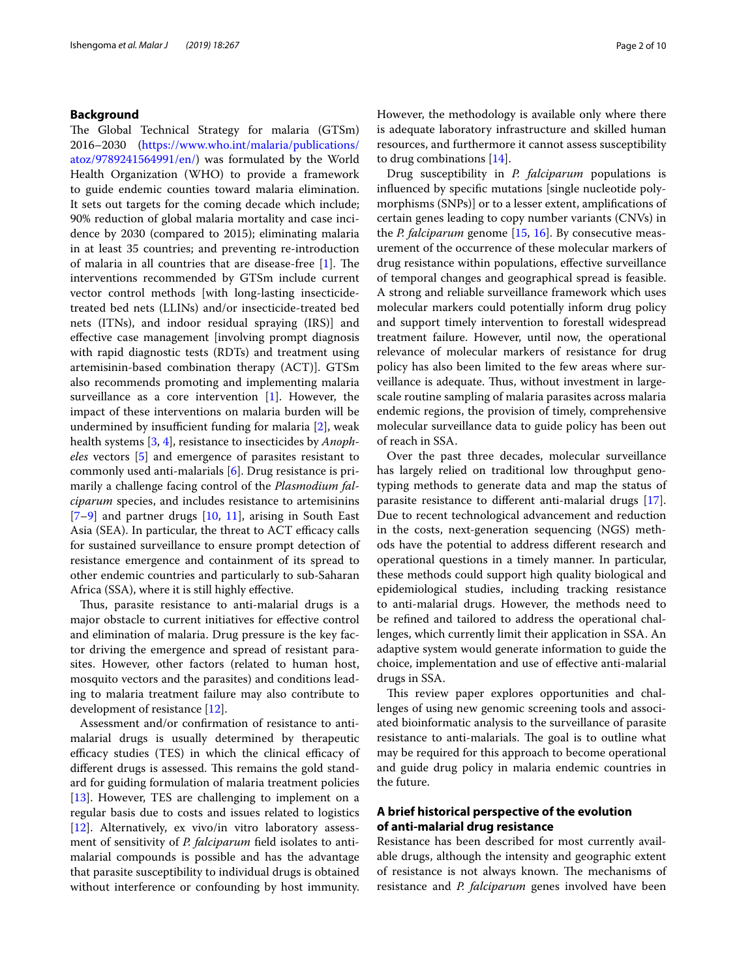## **Background**

The Global Technical Strategy for malaria (GTSm) 2016–2030 ([https://www.who.int/malaria/publications/](https://www.who.int/malaria/publications/atoz/9789241564991/en/) [atoz/9789241564991/en/](https://www.who.int/malaria/publications/atoz/9789241564991/en/)) was formulated by the World Health Organization (WHO) to provide a framework to guide endemic counties toward malaria elimination. It sets out targets for the coming decade which include; 90% reduction of global malaria mortality and case incidence by 2030 (compared to 2015); eliminating malaria in at least 35 countries; and preventing re-introduction of malaria in all countries that are disease-free  $[1]$  $[1]$ . The interventions recommended by GTSm include current vector control methods [with long-lasting insecticidetreated bed nets (LLINs) and/or insecticide-treated bed nets (ITNs), and indoor residual spraying (IRS)] and efective case management [involving prompt diagnosis with rapid diagnostic tests (RDTs) and treatment using artemisinin-based combination therapy (ACT)]. GTSm also recommends promoting and implementing malaria surveillance as a core intervention [[1](#page-7-0)]. However, the impact of these interventions on malaria burden will be undermined by insufficient funding for malaria  $[2]$  $[2]$ , weak health systems [\[3](#page-7-2), [4\]](#page-7-3), resistance to insecticides by *Anopheles* vectors [[5\]](#page-7-4) and emergence of parasites resistant to commonly used anti-malarials [[6\]](#page-7-5). Drug resistance is primarily a challenge facing control of the *Plasmodium falciparum* species, and includes resistance to artemisinins  $[7-9]$  $[7-9]$  and partner drugs  $[10, 11]$  $[10, 11]$  $[10, 11]$  $[10, 11]$  $[10, 11]$ , arising in South East Asia (SEA). In particular, the threat to ACT efficacy calls for sustained surveillance to ensure prompt detection of resistance emergence and containment of its spread to other endemic countries and particularly to sub-Saharan Africa (SSA), where it is still highly efective.

Thus, parasite resistance to anti-malarial drugs is a major obstacle to current initiatives for efective control and elimination of malaria. Drug pressure is the key factor driving the emergence and spread of resistant parasites. However, other factors (related to human host, mosquito vectors and the parasites) and conditions leading to malaria treatment failure may also contribute to development of resistance [[12](#page-7-10)].

Assessment and/or confrmation of resistance to antimalarial drugs is usually determined by therapeutic efficacy studies (TES) in which the clinical efficacy of different drugs is assessed. This remains the gold standard for guiding formulation of malaria treatment policies [[13\]](#page-7-11). However, TES are challenging to implement on a regular basis due to costs and issues related to logistics [[12\]](#page-7-10). Alternatively, ex vivo/in vitro laboratory assessment of sensitivity of *P. falciparum* feld isolates to antimalarial compounds is possible and has the advantage that parasite susceptibility to individual drugs is obtained without interference or confounding by host immunity. However, the methodology is available only where there is adequate laboratory infrastructure and skilled human resources, and furthermore it cannot assess susceptibility to drug combinations [[14\]](#page-7-12).

Drug susceptibility in *P. falciparum* populations is infuenced by specifc mutations [single nucleotide polymorphisms (SNPs)] or to a lesser extent, amplifcations of certain genes leading to copy number variants (CNVs) in the *P. falciparum* genome [\[15](#page-7-13), [16](#page-7-14)]. By consecutive measurement of the occurrence of these molecular markers of drug resistance within populations, efective surveillance of temporal changes and geographical spread is feasible. A strong and reliable surveillance framework which uses molecular markers could potentially inform drug policy and support timely intervention to forestall widespread treatment failure. However, until now, the operational relevance of molecular markers of resistance for drug policy has also been limited to the few areas where surveillance is adequate. Thus, without investment in largescale routine sampling of malaria parasites across malaria endemic regions, the provision of timely, comprehensive molecular surveillance data to guide policy has been out of reach in SSA.

Over the past three decades, molecular surveillance has largely relied on traditional low throughput genotyping methods to generate data and map the status of parasite resistance to diferent anti-malarial drugs [\[17](#page-7-15)]. Due to recent technological advancement and reduction in the costs, next-generation sequencing (NGS) methods have the potential to address diferent research and operational questions in a timely manner. In particular, these methods could support high quality biological and epidemiological studies, including tracking resistance to anti-malarial drugs. However, the methods need to be refned and tailored to address the operational challenges, which currently limit their application in SSA. An adaptive system would generate information to guide the choice, implementation and use of efective anti-malarial drugs in SSA.

This review paper explores opportunities and challenges of using new genomic screening tools and associated bioinformatic analysis to the surveillance of parasite resistance to anti-malarials. The goal is to outline what may be required for this approach to become operational and guide drug policy in malaria endemic countries in the future.

## **A brief historical perspective of the evolution of anti‑malarial drug resistance**

Resistance has been described for most currently available drugs, although the intensity and geographic extent of resistance is not always known. The mechanisms of resistance and *P. falciparum* genes involved have been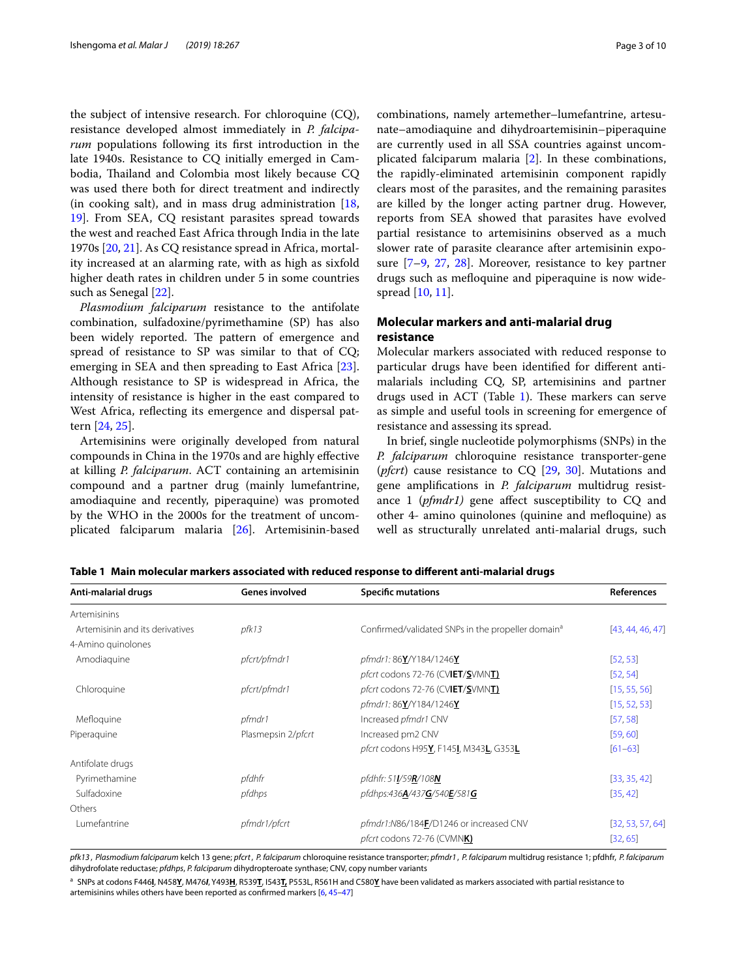the subject of intensive research. For chloroquine (CQ), resistance developed almost immediately in *P. falciparum* populations following its frst introduction in the late 1940s. Resistance to CQ initially emerged in Cambodia, Thailand and Colombia most likely because CQ was used there both for direct treatment and indirectly (in cooking salt), and in mass drug administration [\[18](#page-7-16), [19\]](#page-7-17). From SEA, CQ resistant parasites spread towards the west and reached East Africa through India in the late 1970s [[20](#page-7-18), [21\]](#page-7-19). As CQ resistance spread in Africa, mortality increased at an alarming rate, with as high as sixfold higher death rates in children under 5 in some countries such as Senegal [\[22](#page-7-20)].

*Plasmodium falciparum* resistance to the antifolate combination, sulfadoxine/pyrimethamine (SP) has also been widely reported. The pattern of emergence and spread of resistance to SP was similar to that of CQ; emerging in SEA and then spreading to East Africa [\[23](#page-7-21)]. Although resistance to SP is widespread in Africa, the intensity of resistance is higher in the east compared to West Africa, refecting its emergence and dispersal pattern [\[24,](#page-7-22) [25](#page-7-23)].

Artemisinins were originally developed from natural compounds in China in the 1970s and are highly efective at killing *P. falciparum*. ACT containing an artemisinin compound and a partner drug (mainly lumefantrine, amodiaquine and recently, piperaquine) was promoted by the WHO in the 2000s for the treatment of uncomplicated falciparum malaria [[26\]](#page-7-24). Artemisinin-based combinations, namely artemether–lumefantrine, artesunate–amodiaquine and dihydroartemisinin–piperaquine are currently used in all SSA countries against uncomplicated falciparum malaria [[2\]](#page-7-1). In these combinations, the rapidly-eliminated artemisinin component rapidly clears most of the parasites, and the remaining parasites are killed by the longer acting partner drug. However, reports from SEA showed that parasites have evolved partial resistance to artemisinins observed as a much slower rate of parasite clearance after artemisinin exposure  $[7-9, 27, 28]$  $[7-9, 27, 28]$  $[7-9, 27, 28]$  $[7-9, 27, 28]$  $[7-9, 27, 28]$  $[7-9, 27, 28]$ . Moreover, resistance to key partner drugs such as mefoquine and piperaquine is now widespread [\[10](#page-7-8), [11](#page-7-9)].

## **Molecular markers and anti‑malarial drug resistance**

Molecular markers associated with reduced response to particular drugs have been identifed for diferent antimalarials including CQ, SP, artemisinins and partner drugs used in ACT (Table  $1$ ). These markers can serve as simple and useful tools in screening for emergence of resistance and assessing its spread.

In brief, single nucleotide polymorphisms (SNPs) in the *P. falciparum* chloroquine resistance transporter-gene (*pfcrt*) cause resistance to CQ [[29,](#page-7-27) [30](#page-7-28)]. Mutations and gene amplifcations in *P. falciparum* multidrug resistance 1 (*pfmdr1)* gene afect susceptibility to CQ and other 4- amino quinolones (quinine and mefoquine) as well as structurally unrelated anti-malarial drugs, such

<span id="page-2-0"></span>**Table 1 Main molecular markers associated with reduced response to diferent anti-malarial drugs**

| Anti-malarial drugs             | <b>Genes involved</b> | <b>Specific mutations</b>                                     | <b>References</b> |
|---------------------------------|-----------------------|---------------------------------------------------------------|-------------------|
| Artemisinins                    |                       |                                                               |                   |
| Artemisinin and its derivatives | pfk13                 | Confirmed/validated SNPs in the propeller domain <sup>a</sup> | [43, 44, 46, 47]  |
| 4-Amino guinolones              |                       |                                                               |                   |
| Amodiaguine                     | pfcrt/pfmdr1          | pfmdr1: 86Y/Y184/1246Y                                        | [52, 53]          |
|                                 |                       | pfcrt codons 72-76 (CVIET/SVMNT)                              | [52, 54]          |
| Chloroquine                     | pfcrt/pfmdr1          | pfcrt codons 72-76 (CVIET/SVMNT)                              | [15, 55, 56]      |
|                                 |                       | pfmdr1: 86Y/Y184/1246Y                                        | [15, 52, 53]      |
| Mefloquine                      | pfmdr1                | Increased pfmdr1 CNV                                          | [57, 58]          |
| Piperaquine                     | Plasmepsin 2/pfcrt    | Increased pm2 CNV                                             | [59, 60]          |
|                                 |                       | pfcrt codons H95Y, F145I, M343L, G353L                        | $[61 - 63]$       |
| Antifolate drugs                |                       |                                                               |                   |
| Pyrimethamine                   | pfdhfr                | pfdhfr: 511/59R/108N                                          | [33, 35, 42]      |
| Sulfadoxine                     | pfdhps                | pfdhps:436A/437G/540E/581G                                    | [35, 42]          |
| Others                          |                       |                                                               |                   |
| Lumefantrine                    | pfmdr1/pfcrt          | pfmdr1:N86/184F/D1246 or increased CNV                        | [32, 53, 57, 64]  |
|                                 |                       | pfcrt codons 72-76 (CVMN <b>K)</b>                            | [32, 65]          |

*pfk13* , *Plasmodium falciparum* kelch 13 gene; *pfcrt*, *P. falciparum* chloroquine resistance transporter; *pfmdr1* , *P. falciparum* multidrug resistance 1; pfdhfr, *P. falciparum* dihydrofolate reductase; *pfdhps*, *P. falciparum* dihydropteroate synthase; CNV, copy number variants

<sup>a</sup> SNPs at codons F446**I**, N458**Y**, M476*I*, Y493**H**, R539**T**, I543**T,** P553L, R561H and C580**Y** have been validated as markers associated with partial resistance to artemisinins whiles others have been reported as confrmed markers [\[6,](#page-7-5) [45](#page-8-0)[–47\]](#page-8-1)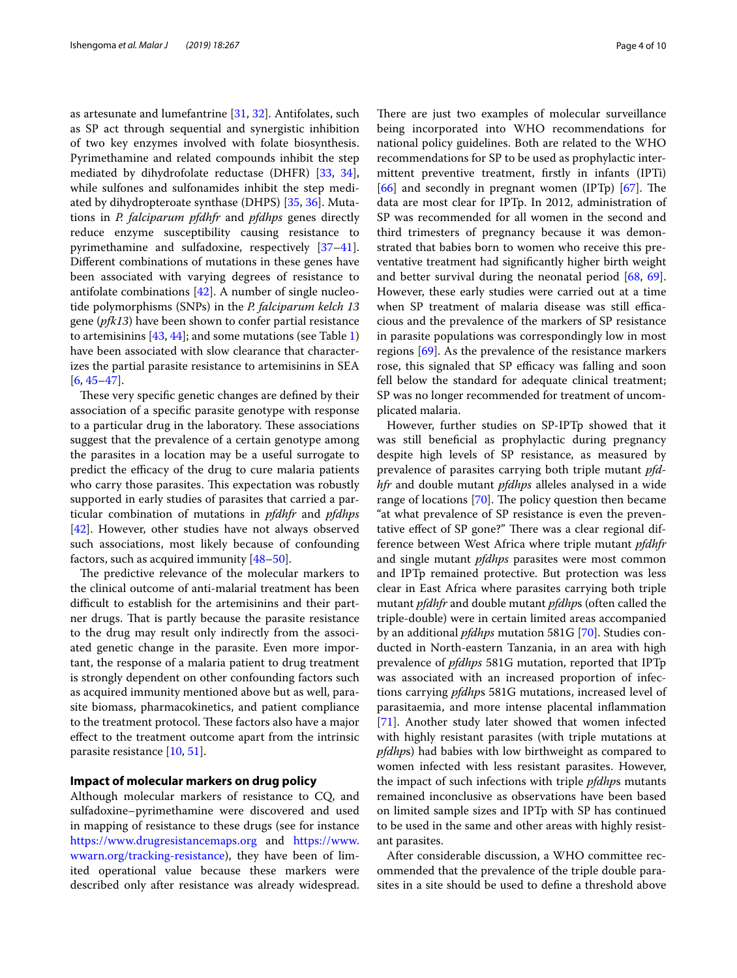as artesunate and lumefantrine [\[31](#page-7-33), [32\]](#page-7-32). Antifolates, such as SP act through sequential and synergistic inhibition of two key enzymes involved with folate biosynthesis. Pyrimethamine and related compounds inhibit the step mediated by dihydrofolate reductase (DHFR) [\[33](#page-7-29), [34](#page-7-34)], while sulfones and sulfonamides inhibit the step mediated by dihydropteroate synthase (DHPS) [\[35](#page-7-30), [36\]](#page-7-35). Mutations in *P. falciparum pfdhfr* and *pfdhps* genes directly reduce enzyme susceptibility causing resistance to pyrimethamine and sulfadoxine, respectively [[37](#page-7-36)[–41](#page-7-37)]. Diferent combinations of mutations in these genes have been associated with varying degrees of resistance to antifolate combinations [\[42](#page-7-31)]. A number of single nucleotide polymorphisms (SNPs) in the *P. falciparum kelch 13* gene (*pfk13*) have been shown to confer partial resistance to artemisinins [\[43](#page-8-2), [44](#page-8-3)]; and some mutations (see Table [1](#page-2-0)) have been associated with slow clearance that characterizes the partial parasite resistance to artemisinins in SEA [[6,](#page-7-5) [45](#page-8-0)[–47\]](#page-8-1).

These very specific genetic changes are defined by their association of a specifc parasite genotype with response to a particular drug in the laboratory. These associations suggest that the prevalence of a certain genotype among the parasites in a location may be a useful surrogate to predict the efficacy of the drug to cure malaria patients who carry those parasites. This expectation was robustly supported in early studies of parasites that carried a particular combination of mutations in *pfdhfr* and *pfdhps* [[42\]](#page-7-31). However, other studies have not always observed such associations, most likely because of confounding factors, such as acquired immunity [[48](#page-8-18)[–50](#page-8-19)].

The predictive relevance of the molecular markers to the clinical outcome of anti-malarial treatment has been difficult to establish for the artemisinins and their partner drugs. That is partly because the parasite resistance to the drug may result only indirectly from the associated genetic change in the parasite. Even more important, the response of a malaria patient to drug treatment is strongly dependent on other confounding factors such as acquired immunity mentioned above but as well, parasite biomass, pharmacokinetics, and patient compliance to the treatment protocol. These factors also have a major efect to the treatment outcome apart from the intrinsic parasite resistance [\[10](#page-7-8), [51](#page-8-20)].

## **Impact of molecular markers on drug policy**

Although molecular markers of resistance to CQ, and sulfadoxine–pyrimethamine were discovered and used in mapping of resistance to these drugs (see for instance <https://www.drugresistancemaps.org>and [https://www.](https://www.wwarn.org/tracking-resistance) [wwarn.org/tracking-resistance\)](https://www.wwarn.org/tracking-resistance), they have been of limited operational value because these markers were described only after resistance was already widespread. There are just two examples of molecular surveillance being incorporated into WHO recommendations for national policy guidelines. Both are related to the WHO recommendations for SP to be used as prophylactic intermittent preventive treatment, frstly in infants (IPTi)  $[66]$  $[66]$  and secondly in pregnant women (IPTp)  $[67]$ . The data are most clear for IPTp. In 2012, administration of SP was recommended for all women in the second and third trimesters of pregnancy because it was demonstrated that babies born to women who receive this preventative treatment had signifcantly higher birth weight and better survival during the neonatal period [[68](#page-8-23), [69](#page-8-24)]. However, these early studies were carried out at a time when SP treatment of malaria disease was still efficacious and the prevalence of the markers of SP resistance in parasite populations was correspondingly low in most regions [[69\]](#page-8-24). As the prevalence of the resistance markers rose, this signaled that SP efficacy was falling and soon fell below the standard for adequate clinical treatment; SP was no longer recommended for treatment of uncomplicated malaria.

However, further studies on SP-IPTp showed that it was still benefcial as prophylactic during pregnancy despite high levels of SP resistance, as measured by prevalence of parasites carrying both triple mutant *pfdhfr* and double mutant *pfdhps* alleles analysed in a wide range of locations  $[70]$ . The policy question then became "at what prevalence of SP resistance is even the preventative effect of SP gone?" There was a clear regional difference between West Africa where triple mutant *pfdhfr* and single mutant *pfdhps* parasites were most common and IPTp remained protective. But protection was less clear in East Africa where parasites carrying both triple mutant *pfdhfr* and double mutant *pfdhp*s (often called the triple-double) were in certain limited areas accompanied by an additional *pfdhps* mutation 581G [\[70\]](#page-8-25). Studies conducted in North-eastern Tanzania, in an area with high prevalence of *pfdhps* 581G mutation, reported that IPTp was associated with an increased proportion of infections carrying *pfdhp*s 581G mutations, increased level of parasitaemia, and more intense placental infammation [[71\]](#page-8-26). Another study later showed that women infected with highly resistant parasites (with triple mutations at *pfdhp*s) had babies with low birthweight as compared to women infected with less resistant parasites. However, the impact of such infections with triple *pfdhp*s mutants remained inconclusive as observations have been based on limited sample sizes and IPTp with SP has continued to be used in the same and other areas with highly resistant parasites.

After considerable discussion, a WHO committee recommended that the prevalence of the triple double parasites in a site should be used to defne a threshold above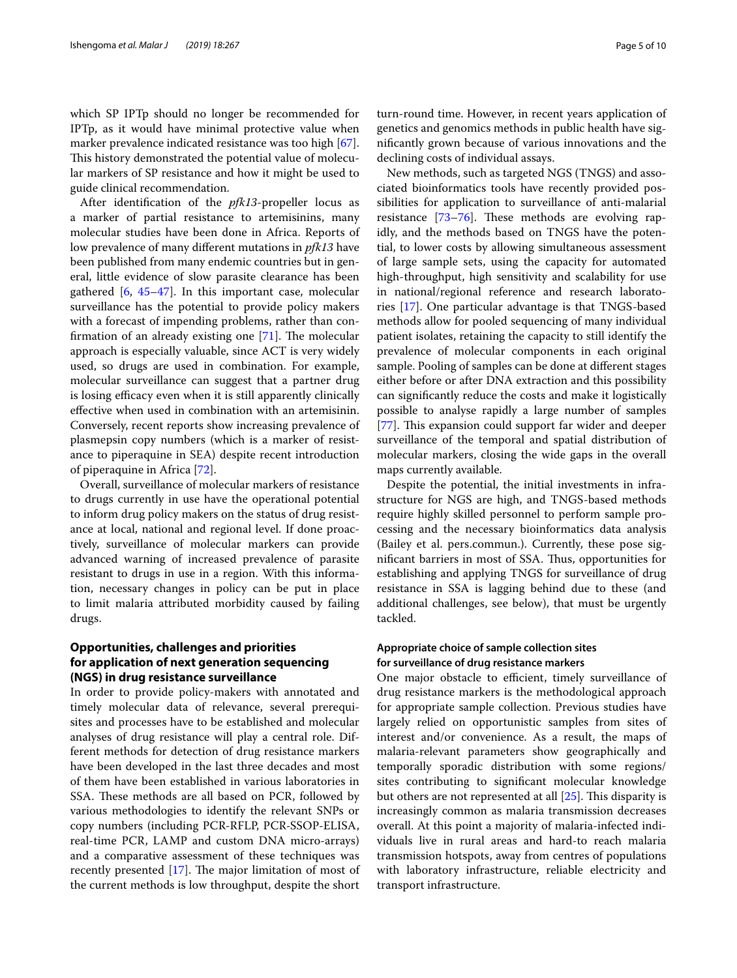which SP IPTp should no longer be recommended for IPTp, as it would have minimal protective value when marker prevalence indicated resistance was too high [\[67](#page-8-22)]. This history demonstrated the potential value of molecular markers of SP resistance and how it might be used to guide clinical recommendation.

After identifcation of the *pfk13*-propeller locus as a marker of partial resistance to artemisinins, many molecular studies have been done in Africa. Reports of low prevalence of many diferent mutations in *pfk13* have been published from many endemic countries but in general, little evidence of slow parasite clearance has been gathered  $[6, 45-47]$  $[6, 45-47]$  $[6, 45-47]$  $[6, 45-47]$  $[6, 45-47]$ . In this important case, molecular surveillance has the potential to provide policy makers with a forecast of impending problems, rather than confirmation of an already existing one  $[71]$ . The molecular approach is especially valuable, since ACT is very widely used, so drugs are used in combination. For example, molecular surveillance can suggest that a partner drug is losing efficacy even when it is still apparently clinically efective when used in combination with an artemisinin. Conversely, recent reports show increasing prevalence of plasmepsin copy numbers (which is a marker of resistance to piperaquine in SEA) despite recent introduction of piperaquine in Africa [[72\]](#page-8-27).

Overall, surveillance of molecular markers of resistance to drugs currently in use have the operational potential to inform drug policy makers on the status of drug resistance at local, national and regional level. If done proactively, surveillance of molecular markers can provide advanced warning of increased prevalence of parasite resistant to drugs in use in a region. With this information, necessary changes in policy can be put in place to limit malaria attributed morbidity caused by failing drugs.

## **Opportunities, challenges and priorities for application of next generation sequencing (NGS) in drug resistance surveillance**

In order to provide policy-makers with annotated and timely molecular data of relevance, several prerequisites and processes have to be established and molecular analyses of drug resistance will play a central role. Different methods for detection of drug resistance markers have been developed in the last three decades and most of them have been established in various laboratories in SSA. These methods are all based on PCR, followed by various methodologies to identify the relevant SNPs or copy numbers (including PCR-RFLP, PCR-SSOP-ELISA, real-time PCR, LAMP and custom DNA micro-arrays) and a comparative assessment of these techniques was recently presented  $[17]$  $[17]$ . The major limitation of most of the current methods is low throughput, despite the short

turn-round time. However, in recent years application of genetics and genomics methods in public health have signifcantly grown because of various innovations and the declining costs of individual assays.

New methods, such as targeted NGS (TNGS) and associated bioinformatics tools have recently provided possibilities for application to surveillance of anti-malarial resistance  $[73-76]$  $[73-76]$ . These methods are evolving rapidly, and the methods based on TNGS have the potential, to lower costs by allowing simultaneous assessment of large sample sets, using the capacity for automated high-throughput, high sensitivity and scalability for use in national/regional reference and research laboratories [\[17](#page-7-15)]. One particular advantage is that TNGS-based methods allow for pooled sequencing of many individual patient isolates, retaining the capacity to still identify the prevalence of molecular components in each original sample. Pooling of samples can be done at diferent stages either before or after DNA extraction and this possibility can signifcantly reduce the costs and make it logistically possible to analyse rapidly a large number of samples [[77\]](#page-8-30). This expansion could support far wider and deeper surveillance of the temporal and spatial distribution of molecular markers, closing the wide gaps in the overall maps currently available.

Despite the potential, the initial investments in infrastructure for NGS are high, and TNGS-based methods require highly skilled personnel to perform sample processing and the necessary bioinformatics data analysis (Bailey et al. pers.commun.). Currently, these pose significant barriers in most of SSA. Thus, opportunities for establishing and applying TNGS for surveillance of drug resistance in SSA is lagging behind due to these (and additional challenges, see below), that must be urgently tackled.

## **Appropriate choice of sample collection sites for surveillance of drug resistance markers**

One major obstacle to efficient, timely surveillance of drug resistance markers is the methodological approach for appropriate sample collection. Previous studies have largely relied on opportunistic samples from sites of interest and/or convenience. As a result, the maps of malaria-relevant parameters show geographically and temporally sporadic distribution with some regions/ sites contributing to signifcant molecular knowledge but others are not represented at all  $[25]$  $[25]$ . This disparity is increasingly common as malaria transmission decreases overall. At this point a majority of malaria-infected individuals live in rural areas and hard-to reach malaria transmission hotspots, away from centres of populations with laboratory infrastructure, reliable electricity and transport infrastructure.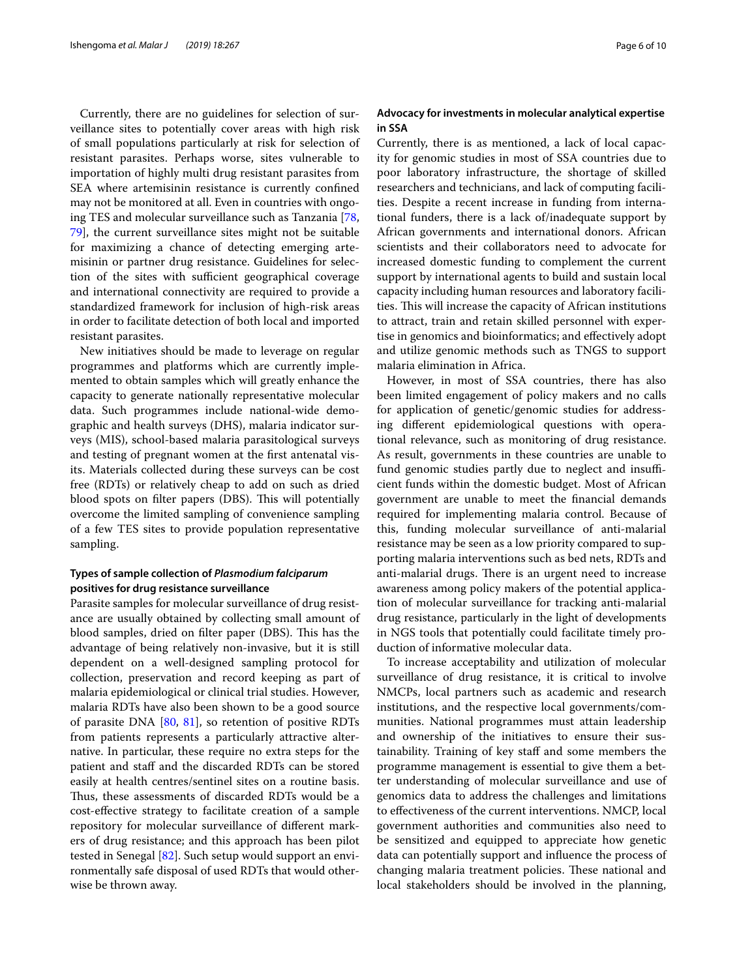Currently, there are no guidelines for selection of surveillance sites to potentially cover areas with high risk of small populations particularly at risk for selection of resistant parasites. Perhaps worse, sites vulnerable to importation of highly multi drug resistant parasites from SEA where artemisinin resistance is currently confned may not be monitored at all. Even in countries with ongoing TES and molecular surveillance such as Tanzania [\[78](#page-8-31), [79\]](#page-9-0), the current surveillance sites might not be suitable for maximizing a chance of detecting emerging artemisinin or partner drug resistance. Guidelines for selection of the sites with sufficient geographical coverage and international connectivity are required to provide a standardized framework for inclusion of high-risk areas in order to facilitate detection of both local and imported resistant parasites.

New initiatives should be made to leverage on regular programmes and platforms which are currently implemented to obtain samples which will greatly enhance the capacity to generate nationally representative molecular data. Such programmes include national-wide demographic and health surveys (DHS), malaria indicator surveys (MIS), school-based malaria parasitological surveys and testing of pregnant women at the frst antenatal visits. Materials collected during these surveys can be cost free (RDTs) or relatively cheap to add on such as dried blood spots on filter papers (DBS). This will potentially overcome the limited sampling of convenience sampling of a few TES sites to provide population representative sampling.

## **Types of sample collection of** *Plasmodium falciparum* **positives for drug resistance surveillance**

Parasite samples for molecular surveillance of drug resistance are usually obtained by collecting small amount of blood samples, dried on filter paper (DBS). This has the advantage of being relatively non-invasive, but it is still dependent on a well-designed sampling protocol for collection, preservation and record keeping as part of malaria epidemiological or clinical trial studies. However, malaria RDTs have also been shown to be a good source of parasite DNA [\[80](#page-9-1), [81\]](#page-9-2), so retention of positive RDTs from patients represents a particularly attractive alternative. In particular, these require no extra steps for the patient and staff and the discarded RDTs can be stored easily at health centres/sentinel sites on a routine basis. Thus, these assessments of discarded RDTs would be a cost-efective strategy to facilitate creation of a sample repository for molecular surveillance of diferent markers of drug resistance; and this approach has been pilot tested in Senegal [[82\]](#page-9-3). Such setup would support an environmentally safe disposal of used RDTs that would otherwise be thrown away.

## **Advocacy for investments in molecular analytical expertise in SSA**

Currently, there is as mentioned, a lack of local capacity for genomic studies in most of SSA countries due to poor laboratory infrastructure, the shortage of skilled researchers and technicians, and lack of computing facilities. Despite a recent increase in funding from international funders, there is a lack of/inadequate support by African governments and international donors. African scientists and their collaborators need to advocate for increased domestic funding to complement the current support by international agents to build and sustain local capacity including human resources and laboratory facilities. This will increase the capacity of African institutions to attract, train and retain skilled personnel with expertise in genomics and bioinformatics; and efectively adopt and utilize genomic methods such as TNGS to support malaria elimination in Africa.

However, in most of SSA countries, there has also been limited engagement of policy makers and no calls for application of genetic/genomic studies for addressing diferent epidemiological questions with operational relevance, such as monitoring of drug resistance. As result, governments in these countries are unable to fund genomic studies partly due to neglect and insufficient funds within the domestic budget. Most of African government are unable to meet the fnancial demands required for implementing malaria control. Because of this, funding molecular surveillance of anti-malarial resistance may be seen as a low priority compared to supporting malaria interventions such as bed nets, RDTs and anti-malarial drugs. There is an urgent need to increase awareness among policy makers of the potential application of molecular surveillance for tracking anti-malarial drug resistance, particularly in the light of developments in NGS tools that potentially could facilitate timely production of informative molecular data.

To increase acceptability and utilization of molecular surveillance of drug resistance, it is critical to involve NMCPs, local partners such as academic and research institutions, and the respective local governments/communities. National programmes must attain leadership and ownership of the initiatives to ensure their sustainability. Training of key staf and some members the programme management is essential to give them a better understanding of molecular surveillance and use of genomics data to address the challenges and limitations to efectiveness of the current interventions. NMCP, local government authorities and communities also need to be sensitized and equipped to appreciate how genetic data can potentially support and infuence the process of changing malaria treatment policies. These national and local stakeholders should be involved in the planning,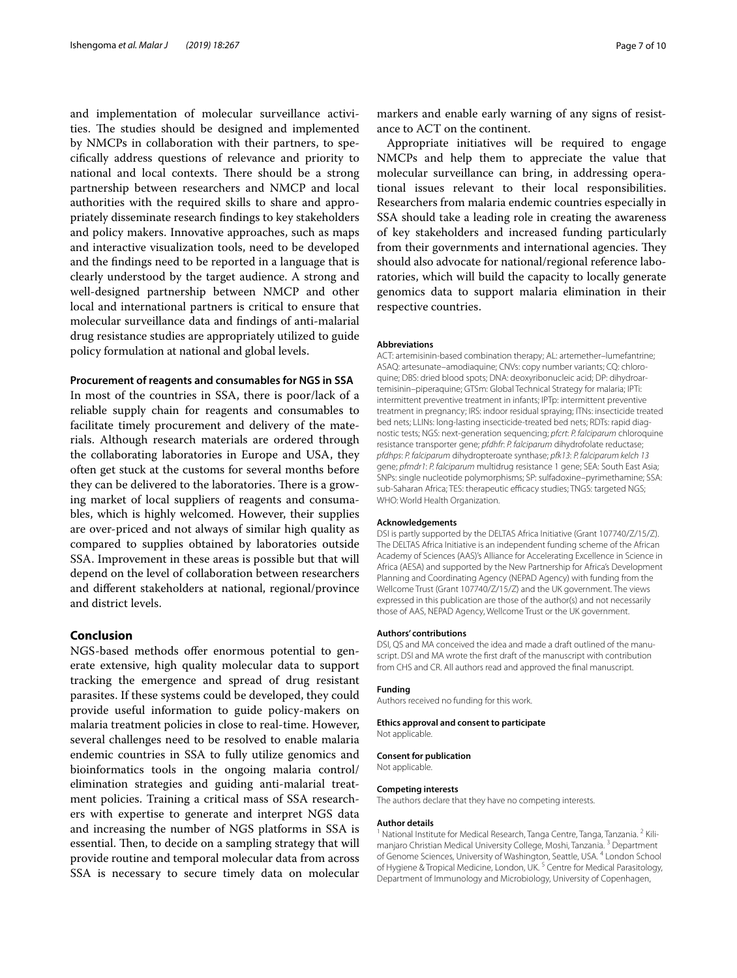and implementation of molecular surveillance activities. The studies should be designed and implemented by NMCPs in collaboration with their partners, to specifcally address questions of relevance and priority to national and local contexts. There should be a strong partnership between researchers and NMCP and local authorities with the required skills to share and appropriately disseminate research fndings to key stakeholders and policy makers. Innovative approaches, such as maps and interactive visualization tools, need to be developed and the fndings need to be reported in a language that is clearly understood by the target audience. A strong and well-designed partnership between NMCP and other local and international partners is critical to ensure that molecular surveillance data and fndings of anti-malarial drug resistance studies are appropriately utilized to guide policy formulation at national and global levels.

#### **Procurement of reagents and consumables for NGS in SSA**

In most of the countries in SSA, there is poor/lack of a reliable supply chain for reagents and consumables to facilitate timely procurement and delivery of the materials. Although research materials are ordered through the collaborating laboratories in Europe and USA, they often get stuck at the customs for several months before they can be delivered to the laboratories. There is a growing market of local suppliers of reagents and consumables, which is highly welcomed. However, their supplies are over-priced and not always of similar high quality as compared to supplies obtained by laboratories outside SSA. Improvement in these areas is possible but that will depend on the level of collaboration between researchers and diferent stakeholders at national, regional/province and district levels.

## **Conclusion**

NGS-based methods offer enormous potential to generate extensive, high quality molecular data to support tracking the emergence and spread of drug resistant parasites. If these systems could be developed, they could provide useful information to guide policy-makers on malaria treatment policies in close to real-time. However, several challenges need to be resolved to enable malaria endemic countries in SSA to fully utilize genomics and bioinformatics tools in the ongoing malaria control/ elimination strategies and guiding anti-malarial treatment policies. Training a critical mass of SSA researchers with expertise to generate and interpret NGS data and increasing the number of NGS platforms in SSA is essential. Then, to decide on a sampling strategy that will provide routine and temporal molecular data from across SSA is necessary to secure timely data on molecular

markers and enable early warning of any signs of resistance to ACT on the continent.

Appropriate initiatives will be required to engage NMCPs and help them to appreciate the value that molecular surveillance can bring, in addressing operational issues relevant to their local responsibilities. Researchers from malaria endemic countries especially in SSA should take a leading role in creating the awareness of key stakeholders and increased funding particularly from their governments and international agencies. They should also advocate for national/regional reference laboratories, which will build the capacity to locally generate genomics data to support malaria elimination in their respective countries.

#### **Abbreviations**

ACT: artemisinin-based combination therapy; AL: artemether–lumefantrine; ASAQ: artesunate–amodiaquine; CNVs: copy number variants; CQ: chloroquine; DBS: dried blood spots; DNA: deoxyribonucleic acid; DP: dihydroartemisinin–piperaquine; GTSm: Global Technical Strategy for malaria; IPTi: intermittent preventive treatment in infants; IPTp: intermittent preventive treatment in pregnancy; IRS: indoor residual spraying; ITNs: insecticide treated bed nets; LLINs: long-lasting insecticide-treated bed nets; RDTs: rapid diagnostic tests; NGS: next-generation sequencing; *pfcrt*: *P. falciparum* chloroquine resistance transporter gene; *pfdhfr*: *P. falciparum* dihydrofolate reductase; *pfdhps*: *P. falciparum* dihydropteroate synthase; *pfk13*: *P. falciparum kelch 13* gene; *pfmdr1*: *P. falciparum* multidrug resistance 1 gene; SEA: South East Asia; SNPs: single nucleotide polymorphisms; SP: sulfadoxine–pyrimethamine; SSA: sub-Saharan Africa; TES: therapeutic efficacy studies; TNGS: targeted NGS; WHO: World Health Organization.

#### **Acknowledgements**

DSI is partly supported by the DELTAS Africa Initiative (Grant 107740/Z/15/Z). The DELTAS Africa Initiative is an independent funding scheme of the African Academy of Sciences (AAS)'s Alliance for Accelerating Excellence in Science in Africa (AESA) and supported by the New Partnership for Africa's Development Planning and Coordinating Agency (NEPAD Agency) with funding from the Wellcome Trust (Grant 107740/Z/15/Z) and the UK government. The views expressed in this publication are those of the author(s) and not necessarily those of AAS, NEPAD Agency, Wellcome Trust or the UK government.

#### **Authors' contributions**

DSI, QS and MA conceived the idea and made a draft outlined of the manuscript. DSI and MA wrote the frst draft of the manuscript with contribution from CHS and CR. All authors read and approved the fnal manuscript.

#### **Funding**

Authors received no funding for this work.

#### **Ethics approval and consent to participate**

Not applicable.

#### **Consent for publication**

Not applicable.

#### **Competing interests**

The authors declare that they have no competing interests.

#### **Author details**

National Institute for Medical Research, Tanga Centre, Tanga, Tanzania. <sup>2</sup> Kilimanjaro Christian Medical University College, Moshi, Tanzania. 3 Department of Genome Sciences, University of Washington, Seattle, USA. 4 London School of Hygiene & Tropical Medicine, London, UK.<sup>5</sup> Centre for Medical Parasitology, Department of Immunology and Microbiology, University of Copenhagen,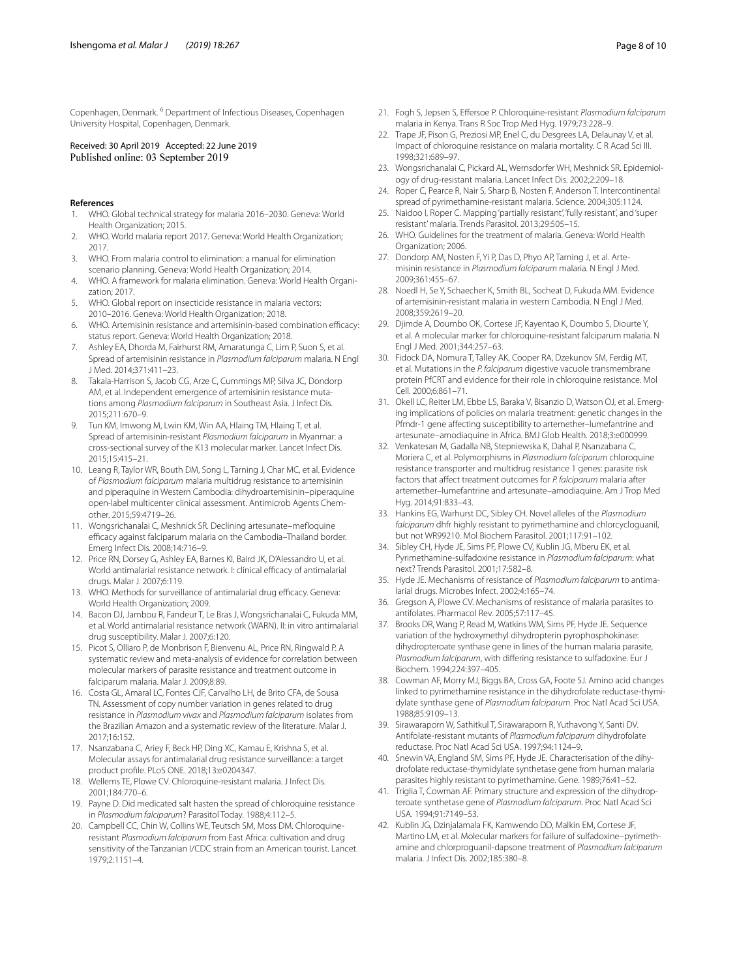Copenhagen, Denmark. 6 Department of Infectious Diseases, Copenhagen University Hospital, Copenhagen, Denmark.

# Received: 30 April 2019 Accepted: 22 June 2019

### **References**

- <span id="page-7-0"></span>1. WHO. Global technical strategy for malaria 2016–2030. Geneva: World Health Organization; 2015.
- <span id="page-7-1"></span>2. WHO. World malaria report 2017. Geneva: World Health Organization; 2017.
- <span id="page-7-2"></span>3. WHO. From malaria control to elimination: a manual for elimination scenario planning. Geneva: World Health Organization; 2014.
- <span id="page-7-3"></span>4. WHO. A framework for malaria elimination. Geneva: World Health Organization; 2017.
- <span id="page-7-4"></span>5. WHO. Global report on insecticide resistance in malaria vectors: 2010–2016. Geneva: World Health Organization; 2018.
- <span id="page-7-5"></span>6. WHO. Artemisinin resistance and artemisinin-based combination efficacy: status report. Geneva: World Health Organization; 2018.
- <span id="page-7-6"></span>7. Ashley EA, Dhorda M, Fairhurst RM, Amaratunga C, Lim P, Suon S, et al. Spread of artemisinin resistance in *Plasmodium falciparum* malaria. N Engl J Med. 2014;371:411–23.
- 8. Takala-Harrison S, Jacob CG, Arze C, Cummings MP, Silva JC, Dondorp AM, et al. Independent emergence of artemisinin resistance mutations among *Plasmodium falciparum* in Southeast Asia. J Infect Dis. 2015;211:670–9.
- <span id="page-7-7"></span>9. Tun KM, Imwong M, Lwin KM, Win AA, Hlaing TM, Hlaing T, et al. Spread of artemisinin-resistant *Plasmodium falciparum* in Myanmar: a cross-sectional survey of the K13 molecular marker. Lancet Infect Dis. 2015;15:415–21.
- <span id="page-7-8"></span>10. Leang R, Taylor WR, Bouth DM, Song L, Tarning J, Char MC, et al. Evidence of *Plasmodium falciparum* malaria multidrug resistance to artemisinin and piperaquine in Western Cambodia: dihydroartemisinin–piperaquine open-label multicenter clinical assessment. Antimicrob Agents Chemother. 2015;59:4719–26.
- <span id="page-7-9"></span>11. Wongsrichanalai C, Meshnick SR. Declining artesunate–mefoquine efficacy against falciparum malaria on the Cambodia-Thailand border. Emerg Infect Dis. 2008;14:716–9.
- <span id="page-7-10"></span>12. Price RN, Dorsey G, Ashley EA, Barnes KI, Baird JK, D'Alessandro U, et al. World antimalarial resistance network. I: clinical efficacy of antimalarial drugs. Malar J. 2007;6:119.
- <span id="page-7-11"></span>13. WHO. Methods for surveillance of antimalarial drug efficacy. Geneva: World Health Organization; 2009.
- <span id="page-7-12"></span>14. Bacon DJ, Jambou R, Fandeur T, Le Bras J, Wongsrichanalai C, Fukuda MM, et al. World antimalarial resistance network (WARN). II: in vitro antimalarial drug susceptibility. Malar J. 2007;6:120.
- <span id="page-7-13"></span>15. Picot S, Olliaro P, de Monbrison F, Bienvenu AL, Price RN, Ringwald P. A systematic review and meta-analysis of evidence for correlation between molecular markers of parasite resistance and treatment outcome in falciparum malaria. Malar J. 2009;8:89.
- <span id="page-7-14"></span>16. Costa GL, Amaral LC, Fontes CJF, Carvalho LH, de Brito CFA, de Sousa TN. Assessment of copy number variation in genes related to drug resistance in *Plasmodium vivax* and *Plasmodium falciparum* isolates from the Brazilian Amazon and a systematic review of the literature. Malar J. 2017;16:152.
- <span id="page-7-15"></span>17. Nsanzabana C, Ariey F, Beck HP, Ding XC, Kamau E, Krishna S, et al. Molecular assays for antimalarial drug resistance surveillance: a target product profle. PLoS ONE. 2018;13:e0204347.
- <span id="page-7-16"></span>18. Wellems TE, Plowe CV. Chloroquine-resistant malaria. J Infect Dis. 2001;184:770–6.
- <span id="page-7-17"></span>19. Payne D. Did medicated salt hasten the spread of chloroquine resistance in *Plasmodium falciparum*? Parasitol Today. 1988;4:112–5.
- <span id="page-7-18"></span>20. Campbell CC, Chin W, Collins WE, Teutsch SM, Moss DM. Chloroquineresistant *Plasmodium falciparum* from East Africa: cultivation and drug sensitivity of the Tanzanian I/CDC strain from an American tourist. Lancet. 1979;2:1151–4.
- <span id="page-7-19"></span>21. Fogh S, Jepsen S, Efersoe P. Chloroquine-resistant *Plasmodium falciparum* malaria in Kenya. Trans R Soc Trop Med Hyg. 1979;73:228–9.
- <span id="page-7-20"></span>22. Trape JF, Pison G, Preziosi MP, Enel C, du Desgrees LA, Delaunay V, et al. Impact of chloroquine resistance on malaria mortality. C R Acad Sci III. 1998;321:689–97.
- <span id="page-7-21"></span>23. Wongsrichanalai C, Pickard AL, Wernsdorfer WH, Meshnick SR. Epidemiology of drug-resistant malaria. Lancet Infect Dis. 2002;2:209–18.
- <span id="page-7-22"></span>24. Roper C, Pearce R, Nair S, Sharp B, Nosten F, Anderson T. Intercontinental spread of pyrimethamine-resistant malaria. Science. 2004;305:1124.
- <span id="page-7-23"></span>25. Naidoo I, Roper C. Mapping 'partially resistant', 'fully resistant', and 'super resistant' malaria. Trends Parasitol. 2013;29:505–15.
- <span id="page-7-24"></span>26. WHO. Guidelines for the treatment of malaria. Geneva: World Health Organization; 2006.
- <span id="page-7-25"></span>27. Dondorp AM, Nosten F, Yi P, Das D, Phyo AP, Tarning J, et al. Artemisinin resistance in *Plasmodium falciparum* malaria. N Engl J Med. 2009;361:455–67.
- <span id="page-7-26"></span>28. Noedl H, Se Y, Schaecher K, Smith BL, Socheat D, Fukuda MM. Evidence of artemisinin-resistant malaria in western Cambodia. N Engl J Med. 2008;359:2619–20.
- <span id="page-7-27"></span>29. Djimde A, Doumbo OK, Cortese JF, Kayentao K, Doumbo S, Diourte Y, et al. A molecular marker for chloroquine-resistant falciparum malaria. N Engl J Med. 2001;344:257–63.
- <span id="page-7-28"></span>30. Fidock DA, Nomura T, Talley AK, Cooper RA, Dzekunov SM, Ferdig MT, et al. Mutations in the *P. falciparum* digestive vacuole transmembrane protein PfCRT and evidence for their role in chloroquine resistance. Mol Cell. 2000;6:861–71.
- <span id="page-7-33"></span>31. Okell LC, Reiter LM, Ebbe LS, Baraka V, Bisanzio D, Watson OJ, et al. Emerging implications of policies on malaria treatment: genetic changes in the Pfmdr-1 gene afecting susceptibility to artemether–lumefantrine and artesunate–amodiaquine in Africa. BMJ Glob Health. 2018;3:e000999.
- <span id="page-7-32"></span>32. Venkatesan M, Gadalla NB, Stepniewska K, Dahal P, Nsanzabana C, Moriera C, et al. Polymorphisms in *Plasmodium falciparum* chloroquine resistance transporter and multidrug resistance 1 genes: parasite risk factors that afect treatment outcomes for *P. falciparum* malaria after artemether–lumefantrine and artesunate–amodiaquine. Am J Trop Med Hyg. 2014;91:833–43.
- <span id="page-7-29"></span>33. Hankins EG, Warhurst DC, Sibley CH. Novel alleles of the *Plasmodium falciparum* dhfr highly resistant to pyrimethamine and chlorcycloguanil, but not WR99210. Mol Biochem Parasitol. 2001;117:91–102.
- <span id="page-7-34"></span>34. Sibley CH, Hyde JE, Sims PF, Plowe CV, Kublin JG, Mberu EK, et al. Pyrimethamine-sulfadoxine resistance in *Plasmodium falciparum*: what next? Trends Parasitol. 2001;17:582–8.
- <span id="page-7-30"></span>35. Hyde JE. Mechanisms of resistance of *Plasmodium falciparum* to antimalarial drugs. Microbes Infect. 2002;4:165–74.
- <span id="page-7-35"></span>36. Gregson A, Plowe CV. Mechanisms of resistance of malaria parasites to antifolates. Pharmacol Rev. 2005;57:117–45.
- <span id="page-7-36"></span>37. Brooks DR, Wang P, Read M, Watkins WM, Sims PF, Hyde JE. Sequence variation of the hydroxymethyl dihydropterin pyrophosphokinase: dihydropteroate synthase gene in lines of the human malaria parasite, *Plasmodium falciparum*, with difering resistance to sulfadoxine. Eur J Biochem. 1994;224:397–405.
- 38. Cowman AF, Morry MJ, Biggs BA, Cross GA, Foote SJ. Amino acid changes linked to pyrimethamine resistance in the dihydrofolate reductase-thymidylate synthase gene of *Plasmodium falciparum*. Proc Natl Acad Sci USA. 1988;85:9109–13.
- 39. Sirawaraporn W, Sathitkul T, Sirawaraporn R, Yuthavong Y, Santi DV. Antifolate-resistant mutants of *Plasmodium falciparum* dihydrofolate reductase. Proc Natl Acad Sci USA. 1997;94:1124–9.
- 40. Snewin VA, England SM, Sims PF, Hyde JE. Characterisation of the dihydrofolate reductase-thymidylate synthetase gene from human malaria parasites highly resistant to pyrimethamine. Gene. 1989;76:41–52.
- <span id="page-7-37"></span>41. Triglia T, Cowman AF. Primary structure and expression of the dihydropteroate synthetase gene of *Plasmodium falciparum*. Proc Natl Acad Sci USA. 1994;91:7149–53.
- <span id="page-7-31"></span>42. Kublin JG, Dzinjalamala FK, Kamwendo DD, Malkin EM, Cortese JF, Martino LM, et al. Molecular markers for failure of sulfadoxine–pyrimethamine and chlorproguanil-dapsone treatment of *Plasmodium falciparum* malaria. J Infect Dis. 2002;185:380–8.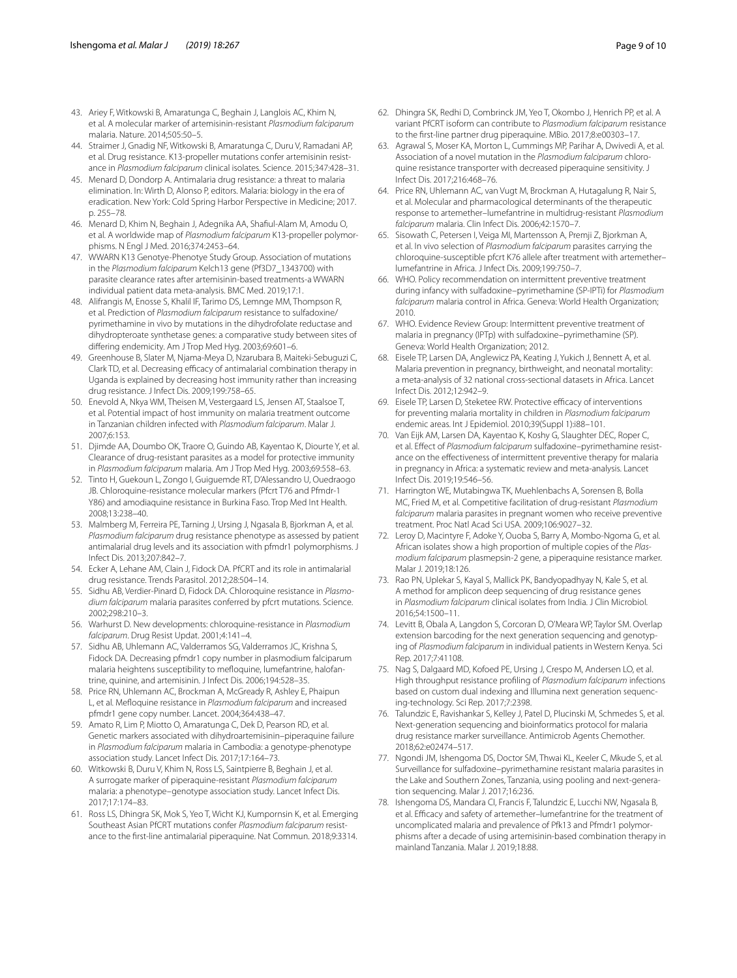- <span id="page-8-2"></span>43. Ariey F, Witkowski B, Amaratunga C, Beghain J, Langlois AC, Khim N, et al. A molecular marker of artemisinin-resistant *Plasmodium falciparum* malaria. Nature. 2014;505:50–5.
- <span id="page-8-3"></span>44. Straimer J, Gnadig NF, Witkowski B, Amaratunga C, Duru V, Ramadani AP, et al. Drug resistance. K13-propeller mutations confer artemisinin resistance in *Plasmodium falciparum* clinical isolates. Science. 2015;347:428–31.
- <span id="page-8-0"></span>45. Menard D, Dondorp A. Antimalaria drug resistance: a threat to malaria elimination. In: Wirth D, Alonso P, editors. Malaria: biology in the era of eradication. New York: Cold Spring Harbor Perspective in Medicine; 2017. p. 255–78.
- <span id="page-8-4"></span>46. Menard D, Khim N, Beghain J, Adegnika AA, Shaful-Alam M, Amodu O, et al. A worldwide map of *Plasmodium falciparum* K13-propeller polymorphisms. N Engl J Med. 2016;374:2453–64.
- <span id="page-8-1"></span>47. WWARN K13 Genotye-Phenotye Study Group. Association of mutations in the *Plasmodium falciparum* Kelch13 gene (Pf3D7\_1343700) with parasite clearance rates after artemisinin-based treatments-a WWARN individual patient data meta-analysis. BMC Med. 2019;17:1.
- <span id="page-8-18"></span>48. Alifrangis M, Enosse S, Khalil IF, Tarimo DS, Lemnge MM, Thompson R, et al. Prediction of *Plasmodium falciparum* resistance to sulfadoxine/ pyrimethamine in vivo by mutations in the dihydrofolate reductase and dihydropteroate synthetase genes: a comparative study between sites of difering endemicity. Am J Trop Med Hyg. 2003;69:601–6.
- 49. Greenhouse B, Slater M, Njama-Meya D, Nzarubara B, Maiteki-Sebuguzi C, Clark TD, et al. Decreasing efficacy of antimalarial combination therapy in Uganda is explained by decreasing host immunity rather than increasing drug resistance. J Infect Dis. 2009;199:758–65.
- <span id="page-8-19"></span>50. Enevold A, Nkya WM, Theisen M, Vestergaard LS, Jensen AT, Staalsoe T, et al. Potential impact of host immunity on malaria treatment outcome in Tanzanian children infected with *Plasmodium falciparum*. Malar J. 2007;6:153.
- <span id="page-8-20"></span>51. Djimde AA, Doumbo OK, Traore O, Guindo AB, Kayentao K, Diourte Y, et al. Clearance of drug-resistant parasites as a model for protective immunity in *Plasmodium falciparum* malaria. Am J Trop Med Hyg. 2003;69:558–63.
- <span id="page-8-5"></span>52. Tinto H, Guekoun L, Zongo I, Guiguemde RT, D'Alessandro U, Ouedraogo JB. Chloroquine-resistance molecular markers (Pfcrt T76 and Pfmdr-1 Y86) and amodiaquine resistance in Burkina Faso. Trop Med Int Health. 2008;13:238–40.
- <span id="page-8-6"></span>53. Malmberg M, Ferreira PE, Tarning J, Ursing J, Ngasala B, Bjorkman A, et al. *Plasmodium falciparum* drug resistance phenotype as assessed by patient antimalarial drug levels and its association with pfmdr1 polymorphisms. J Infect Dis. 2013;207:842–7.
- <span id="page-8-7"></span>54. Ecker A, Lehane AM, Clain J, Fidock DA. PfCRT and its role in antimalarial drug resistance. Trends Parasitol. 2012;28:504–14.
- <span id="page-8-8"></span>55. Sidhu AB, Verdier-Pinard D, Fidock DA. Chloroquine resistance in *Plasmodium falciparum* malaria parasites conferred by pfcrt mutations. Science. 2002;298:210–3.
- <span id="page-8-9"></span>56. Warhurst D. New developments: chloroquine-resistance in *Plasmodium falciparum*. Drug Resist Updat. 2001;4:141–4.
- <span id="page-8-10"></span>57. Sidhu AB, Uhlemann AC, Valderramos SG, Valderramos JC, Krishna S, Fidock DA. Decreasing pfmdr1 copy number in plasmodium falciparum malaria heightens susceptibility to mefoquine, lumefantrine, halofantrine, quinine, and artemisinin. J Infect Dis. 2006;194:528–35.
- <span id="page-8-11"></span>58. Price RN, Uhlemann AC, Brockman A, McGready R, Ashley E, Phaipun L, et al. Mefoquine resistance in *Plasmodium falciparum* and increased pfmdr1 gene copy number. Lancet. 2004;364:438–47.
- <span id="page-8-12"></span>59. Amato R, Lim P, Miotto O, Amaratunga C, Dek D, Pearson RD, et al. Genetic markers associated with dihydroartemisinin–piperaquine failure in *Plasmodium falciparum* malaria in Cambodia: a genotype-phenotype association study. Lancet Infect Dis. 2017;17:164–73.
- <span id="page-8-13"></span>60. Witkowski B, Duru V, Khim N, Ross LS, Saintpierre B, Beghain J, et al. A surrogate marker of piperaquine-resistant *Plasmodium falciparum* malaria: a phenotype–genotype association study. Lancet Infect Dis. 2017;17:174–83.
- <span id="page-8-14"></span>61. Ross LS, Dhingra SK, Mok S, Yeo T, Wicht KJ, Kumpornsin K, et al. Emerging Southeast Asian PfCRT mutations confer *Plasmodium falciparum* resistance to the frst-line antimalarial piperaquine. Nat Commun. 2018;9:3314.
- 62. Dhingra SK, Redhi D, Combrinck JM, Yeo T, Okombo J, Henrich PP, et al. A variant PfCRT isoform can contribute to *Plasmodium falciparum* resistance to the frst-line partner drug piperaquine. MBio. 2017;8:e00303–17.
- <span id="page-8-15"></span>63. Agrawal S, Moser KA, Morton L, Cummings MP, Parihar A, Dwivedi A, et al. Association of a novel mutation in the *Plasmodium falciparum* chloroquine resistance transporter with decreased piperaquine sensitivity. J Infect Dis. 2017;216:468–76.
- <span id="page-8-16"></span>64. Price RN, Uhlemann AC, van Vugt M, Brockman A, Hutagalung R, Nair S, et al. Molecular and pharmacological determinants of the therapeutic response to artemether–lumefantrine in multidrug-resistant *Plasmodium falciparum* malaria. Clin Infect Dis. 2006;42:1570–7.
- <span id="page-8-17"></span>65. Sisowath C, Petersen I, Veiga MI, Martensson A, Premji Z, Bjorkman A, et al. In vivo selection of *Plasmodium falciparum* parasites carrying the chloroquine-susceptible pfcrt K76 allele after treatment with artemether– lumefantrine in Africa. J Infect Dis. 2009;199:750–7.
- <span id="page-8-21"></span>66. WHO. Policy recommendation on intermittent preventive treatment during infancy with sulfadoxine–pyrimethamine (SP-IPTi) for *Plasmodium falciparum* malaria control in Africa. Geneva: World Health Organization; 2010.
- <span id="page-8-22"></span>67. WHO. Evidence Review Group: Intermittent preventive treatment of malaria in pregnancy (IPTp) with sulfadoxine–pyrimethamine (SP). Geneva: World Health Organization; 2012.
- <span id="page-8-23"></span>68. Eisele TP, Larsen DA, Anglewicz PA, Keating J, Yukich J, Bennett A, et al. Malaria prevention in pregnancy, birthweight, and neonatal mortality: a meta-analysis of 32 national cross-sectional datasets in Africa. Lancet Infect Dis. 2012;12:942–9.
- <span id="page-8-24"></span>69. Eisele TP, Larsen D, Steketee RW. Protective efficacy of interventions for preventing malaria mortality in children in *Plasmodium falciparum* endemic areas. Int J Epidemiol. 2010;39(Suppl 1):i88–101.
- <span id="page-8-25"></span>70. Van Eijk AM, Larsen DA, Kayentao K, Koshy G, Slaughter DEC, Roper C, et al. Efect of *Plasmodium falciparum* sulfadoxine–pyrimethamine resistance on the efectiveness of intermittent preventive therapy for malaria in pregnancy in Africa: a systematic review and meta-analysis. Lancet Infect Dis. 2019;19:546–56.
- <span id="page-8-26"></span>71. Harrington WE, Mutabingwa TK, Muehlenbachs A, Sorensen B, Bolla MC, Fried M, et al. Competitive facilitation of drug-resistant *Plasmodium falciparum* malaria parasites in pregnant women who receive preventive treatment. Proc Natl Acad Sci USA. 2009;106:9027–32.
- <span id="page-8-27"></span>72. Leroy D, Macintyre F, Adoke Y, Ouoba S, Barry A, Mombo-Ngoma G, et al. African isolates show a high proportion of multiple copies of the *Plasmodium falciparum* plasmepsin-2 gene, a piperaquine resistance marker. Malar J. 2019;18:126.
- <span id="page-8-28"></span>73. Rao PN, Uplekar S, Kayal S, Mallick PK, Bandyopadhyay N, Kale S, et al. A method for amplicon deep sequencing of drug resistance genes in *Plasmodium falciparum* clinical isolates from India. J Clin Microbiol. 2016;54:1500–11.
- 74. Levitt B, Obala A, Langdon S, Corcoran D, O'Meara WP, Taylor SM. Overlap extension barcoding for the next generation sequencing and genotyping of *Plasmodium falciparum* in individual patients in Western Kenya. Sci Rep. 2017;7:41108.
- 75. Nag S, Dalgaard MD, Kofoed PE, Ursing J, Crespo M, Andersen LO, et al. High throughput resistance profling of *Plasmodium falciparum* infections based on custom dual indexing and Illumina next generation sequencing-technology. Sci Rep. 2017;7:2398.
- <span id="page-8-29"></span>76. Talundzic E, Ravishankar S, Kelley J, Patel D, Plucinski M, Schmedes S, et al. Next-generation sequencing and bioinformatics protocol for malaria drug resistance marker surveillance. Antimicrob Agents Chemother. 2018;62:e02474–517.
- <span id="page-8-30"></span>77. Ngondi JM, Ishengoma DS, Doctor SM, Thwai KL, Keeler C, Mkude S, et al. Surveillance for sulfadoxine–pyrimethamine resistant malaria parasites in the Lake and Southern Zones, Tanzania, using pooling and next-generation sequencing. Malar J. 2017;16:236.
- <span id="page-8-31"></span>78. Ishengoma DS, Mandara CI, Francis F, Talundzic E, Lucchi NW, Ngasala B, et al. Efficacy and safety of artemether-lumefantrine for the treatment of uncomplicated malaria and prevalence of Pfk13 and Pfmdr1 polymorphisms after a decade of using artemisinin-based combination therapy in mainland Tanzania. Malar J. 2019;18:88.